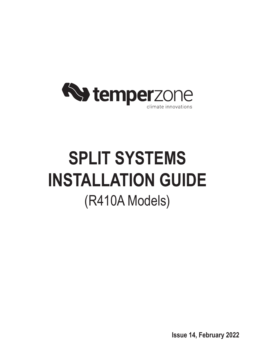

# **SPLIT SYSTEMS INSTALLATION GUIDE** (R410A Models)

**Issue 14, February 2022**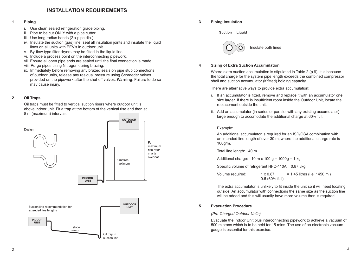# **INSTALLATION REQUIREMENTS**

# **1 Piping**

- i. Use clean sealed refrigeration grade piping.
- ii. Pipe to be cut ONLY with a pipe cutter.
- iii. Use long radius bends (2 x pipe dia.)
- iv. Insulate the suction (gas) line, seal all insulation joints and insulate the liquid lines on all units with EEV's in outdoor unit.
- v. By-flow type filter dryers may be fitted in the liquid line.
- vi. Include a process point on the interconnecting pipework.
- vii. Ensure all open pipe ends are sealed until the final connection is made.
- viii. Purge pipes using Nitrogen during brazing.
- ix. Immediately before removing any brazed seals on pipe stub connections of outdoor units, release any residual pressure using Schraeder valves provided on the pipework after the shut-off valves. **Warning**: Failure to do so may cause injury.

## **2 Oil Traps**

Oil traps must be fitted to vertical suction risers where outdoor unit is above indoor unit. Fit a trap at the bottom of the vertical rise and then at 8 m (maximum) intervals.



**3 Piping Insulation** 

**Suction Liquid**



## **4 Sizing of Extra Suction Accumulation**

Where extra suction accumulation is stipulated in Table 2 (p.9), it is because the total charge for the system pipe length exceeds the combined compressor shell and suction accumulator (if fitted) holding capacity.

#### There are alternative ways to provide extra accumulation;

- i. If an accumulator is fitted, remove and replace it with an accumulator one size larger. If there is insufficient room inside the Outdoor Unit, locate the replacement outside the unit.
- ii. Add an accumulator (in series or parallel with any existing accumulator) large enough to accomodate the additional charge at 60% full.

# Example:

 An additional accumulator is required for an ISD/OSA combination with an intended line length of over 30 m, where the additional charge rate is 100g/m.

Total line length: 40 m

Additional charge:  $10 \text{ m} \times 100 \text{ g} = 1000 \text{ g} = 1 \text{ kg}$ 

 Specific volume of refrigerant HFC-410A: 0.87 l/kg

| Volume required: | $1 \times 0.87$  | $= 1.45$ litres (i.e. 1450 ml) |
|------------------|------------------|--------------------------------|
|                  | $0.6$ (60% full) |                                |

The extra accumulator is unlikely to fit inside the unit so it will need locating outside. An accumulator with connections the same size as the suction line will be added and this will usually have more volume than is required.

# **5 Evacuation Procedure**

## *(Pre-Charged Outdoor Units)*

Evacuate the Indoor Unit plus interconnecting pipework to achieve a vacuum of 500 microns which is to be held for 15 mins. The use of an electronic vacuum gauge is essential for this exercise.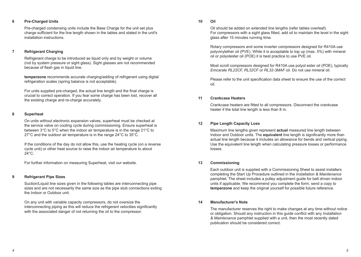# **6 Pre-Charged Units**

 Pre-charged condensing units include the Base Charge for the unit set plus charge sufficient for the line length shown in the tables and stated in the unit's installation instructions.

# **7 Refrigerant Charging**

 Refrigerant charge to be introduced as liquid only and by weight or volume (not by system pressure or sight glass). Sight glasses are not recommended because of flash gas in liquid line.

**temperzone** recommends accurate charging/adding of refrigerant using digital refrigeration scales (spring balance is not acceptable).

For units supplied pre-charged, the actual line length and the final charge is crucial to correct operation. If you fear some charge has been lost, recover all the existing charge and re-charge accurately.

## **8 Superheat**

On units without electronic expansion valves, superheat must be checked at the service valve on cooling cycle during commissioning. Ensure superheat is between 3°C to 5°C when the indoor air temperature is in the range 21°C to 27°C and the outdoor air temperature is in the range 24°C to 35°C.

If the conditions of the day do not allow this, use the heating cycle (on a reverse cycle unit) or other heat source to raise the indoor air temperature to about 24°C.

For further information on measuring Superheat, visit our website.

#### **9 Refrigerant Pipe Sizes**

 Suction/Liquid line sizes given in the following tables are interconnecting pipe sizes and are not necessarily the same size as the pipe stub connections exiting the Indoor or Outdoor unit.

 On any unit with variable capacity compressors, do not oversize the interconnecting piping as this will reduce the refrigerant velocities significantly with the associated danger of not returning the oil to the compressor.

#### **10 Oil**

Oil should be added on extended line lengths (refer tables overleaf). For compressors with a sight glass fitted, add oil to maintain the level in the sight glass after 15 minutes running time.

 Rotary compressors and some inverter compressors designed for R410A use polyvinylether oil (PVE). While it is acceptable to top up (max. 5%) with mineral oil or polyolester oil (POE) it is best practice to use PVE oil.

 Most scroll compressors designed for R410A use polyol ester oil (POE), typically *Emcarate RL22CF, RL32CF or RL32-3MAF* oil. Do not use mineral oil.

 Please refer to the unit specification data sheet to ensure the use of the correct oil.

### **11 Crankcase Heaters**

 Crankcase heaters are fitted to all compressors. Disconnect the crankcase heater if the total line length is less than 8 m.

## **12 Pipe Length Capacity Loss**

 Maximum line lengths given represent **actual** measured line length between Indoor and Outdoor units. The **equivalent** line length is significantly more than actual line length because it includes an allowance for bends and vertical piping. Use the equivalent line length when calculating pressure losses or performance losses.

#### **13 Commissioning**

 Each outdoor unit is supplied with a Commissioning Sheet to assist installers completing the Start Up Procedure outlined in the *Installation & Maintenance* pamphlet. The sheet includes a pulley adjustment guide for belt driven indoor units if applicable. We recommend you complete the form, send a copy to **temperzone** and keep the original yourself for possible future reference.

# **14 Manufacturer's Note**

 The manufacturer reserves the right to make changes at any time without notice or obligation. Should any instruction in this guide conflict with any *Installation & Maintenance* pamphlet supplied with a unit, then the most recently dated publication should be considered correct.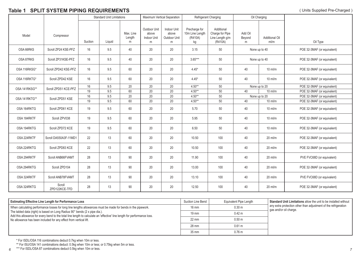# **Table 1 SPLIT SYSTEM PIPING REQUIREMENTS** (Units Supplied Pre-Charged )

|               |                         | <b>Standard Unit Limitations</b> |        | Maximum Vertical Separation<br>Refrigerant Charging |                                                  |                                           |                                                   |                                                             | Oil Charging           |                               |                             |
|---------------|-------------------------|----------------------------------|--------|-----------------------------------------------------|--------------------------------------------------|-------------------------------------------|---------------------------------------------------|-------------------------------------------------------------|------------------------|-------------------------------|-----------------------------|
| Model         | Compressor              | Suction                          | Liauid | Max. Line<br>Length<br>m                            | <b>Outdoor Unit</b><br>above<br>Indoor Unit<br>m | Indoor Unit<br>above<br>Outdoor Unit<br>m | Precharge for<br>10m Line Length<br>(R410A)<br>kg | Additional<br>Charge for Pipe<br>Line Length g/m<br>(R410A) | Add Oil<br>Beyond<br>m | <b>Additional Oil</b><br>ml/m | Oil Type                    |
| OSA 66RKS     | Scroll ZP24 KSE-PFZ     | 16                               | 9.5    | 40                                                  | 20                                               | 20                                        | 3.15                                              | 50                                                          | None up to 40          |                               | POE 32-3MAF (or equivalent) |
| OSA 87RKS     | Scroll ZP31KSE-PFZ      | 16                               | 9.5    | 40                                                  | 20                                               | 20                                        | $3.65***$                                         | 50                                                          | None up to 40          |                               | POE 32-3MAF (or equivalent) |
| OSA 116RKSG*  | Scroll ZPD42 KSE-PFZ    | 16                               | 9.5    | 60                                                  | 20                                               | 20                                        | $4.45*$                                           | 50                                                          | 40                     | $10$ ml/m                     | POE 32-3MAF (or equivalent) |
| OSA 116RKTG*  | Scroll ZPD42 KSE        | 16                               | 9.5    | 60                                                  | 20                                               | 20                                        | $4.45*$                                           | 50                                                          | 40                     | $10$ ml/m                     | POE 32-3MAF (or equivalent) |
|               | Scroll ZPD51 KCE-PFZ    | 16                               | 9.5    | 20                                                  | 20                                               | 20                                        | $4.50**$                                          | 50                                                          |                        | None up to 20                 | POE 32-3MAF (or equivalent) |
| OSA 141RKSG** |                         | 19                               | 9.5    | 60                                                  | 20                                               | 20                                        | $4.50**$                                          | 50                                                          | 40                     | $10$ ml/m                     | POE 32-3MAF (or equivalent) |
| OSA 141RKTG** | Scroll ZPD51 KSE        | $16\,$                           | 9.5    | 20                                                  | 20                                               | 20                                        | $4.50**$                                          | 50                                                          |                        | None up to 20                 | POE 32-3MAF (or equivalent) |
|               |                         | 19                               | 9.5    | 60                                                  | 20                                               | 20                                        | $4.50**$                                          | 50                                                          | 40                     | $10$ ml/m                     | POE 32-3MAF (or equivalent) |
| OSA 164RKTG   | Scroll ZPD61 KCE        | 19                               | 9.5    | 60                                                  | 20                                               | 20                                        | 5.70                                              | 50                                                          | 40                     | $10$ ml/m                     | POE 32-3MAF (or equivalent) |
| OSA 184RKTF   | Scroll ZPV038           | 19                               | 9.5    | 60                                                  | 20                                               | 20                                        | 5.95                                              | 50                                                          | 40                     | $10$ ml/m                     | POE 32-3MAF (or equivalent) |
| OSA 194RKTG   | Scroll ZPD72 KCE        | 19                               | 9.5    | 60                                                  | 20                                               | 20                                        | 6.50                                              | 50                                                          | 40<br>$10$ ml/m        |                               | POE 32-3MAF (or equivalent) |
| OSA 224RKTF   | Scroll DA550A3F-11MD1   | 22                               | 13     | 60                                                  | 20                                               | 20                                        | 10.50                                             | 100                                                         | 40                     | $20$ ml/m                     | POE 32-3MAF (or equivalent) |
| OSA 224RKTG   | Scroll ZPD83 KCE        | 22                               | 13     | 60                                                  | 20                                               | 20                                        | 10.50                                             | 100                                                         | 40                     | $20$ ml/m                     | POE 32-3MAF (or equivalent) |
| OSA 294RKTF   | Scroll ANB66FVAMT       | 28                               | 13     | 90                                                  | 20                                               | 20                                        | 11.90                                             | 100                                                         | 40                     | $20$ ml/m                     | PVE FVC68D (or equivalent)  |
| OSA 294RKTG   | Scroll ZPD104           | 28                               | 13     | 90                                                  | 20                                               | 20                                        | 13.00                                             | 100                                                         | 40                     | $20$ ml/m                     | POE 32-3MAF (or equivalent) |
| OSA 324RKTF   | Scroll ANB78FVAMT       | 28                               | 13     | 90                                                  | 20                                               | 20                                        | 13.10                                             | 100                                                         | 40                     | $20$ ml/m                     | PVE FVC68D (or equivalent)  |
| OSA 324RKTG   | Scroll<br>ZPD122KCE-TFD | 28                               | 13     | 90                                                  | 20                                               | 20                                        | 12.50                                             | 100                                                         | 40                     | $20$ ml/m                     | POE 32-3MAF (or equivalent) |

| <b>Estimating Effective Line Length for Performance Loss</b>                                                                                                                                           | Suction Line Bend | Equivalent Pipe Length | Standard Unit Limitations allow the unit to be installed without                          |
|--------------------------------------------------------------------------------------------------------------------------------------------------------------------------------------------------------|-------------------|------------------------|-------------------------------------------------------------------------------------------|
| When calculating performance losses for long line lengths allowances must be made for bends in the pipework.                                                                                           | 16 mm             | 0.30 <sub>m</sub>      | any extra protection other than adjustment of the refrigeration<br>gas and/or oil charge. |
| The tabled data (right) is based on Long Radius 90° bends (2 x pipe dia.).<br>Add this allowance for every bend to the total line length to calculate an 'effective' line length for performance loss. | $19 \text{ mm}$   | $0.42 \text{ m}$       |                                                                                           |
| No allowance has been included for any effect from vertical lift.                                                                                                                                      | $22 \text{ mm}$   | 0.50 <sub>m</sub>      |                                                                                           |
|                                                                                                                                                                                                        | 28 mm             | 0.61 m                 |                                                                                           |
|                                                                                                                                                                                                        | 35 mm             | $0.76$ m               |                                                                                           |

\* For ISDL/OSA 116 combinations deduct 0.7kg when 10m or less.

\*\* For ISU/OSA 141 combinations deduct: 0.5kg when 10m or less; or 0.75kg when 5m or less.

 $6$   $\hbox{''''''}$  For ISDL/USA 87 combinations deduct 0.5kg when 10m or less.  $\hbox{''}$ \*\*\* For ISDL/OSA 87 combinations deduct 0.5kg when 10m or less.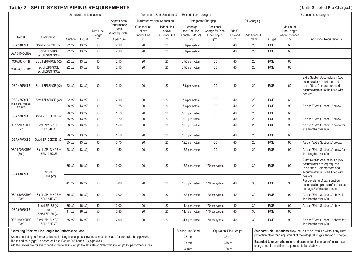# **Table 2 SPLIT SYSTEM PIPING REQUIREMENTS**

|                                                                                                                                                                                                        |                                   |         | <b>Standard Unit Limitations</b> |                    | Common to Both Standard &                  |                                             |                                      | <b>Extended Line Lengths</b>                |                                              |                        |                                                                                                                                                         |                                                                            | <b>Extended Line Lengths</b>            |                                                                                                                                                  |
|--------------------------------------------------------------------------------------------------------------------------------------------------------------------------------------------------------|-----------------------------------|---------|----------------------------------|--------------------|--------------------------------------------|---------------------------------------------|--------------------------------------|---------------------------------------------|----------------------------------------------|------------------------|---------------------------------------------------------------------------------------------------------------------------------------------------------|----------------------------------------------------------------------------|-----------------------------------------|--------------------------------------------------------------------------------------------------------------------------------------------------|
|                                                                                                                                                                                                        |                                   |         |                                  |                    | Approximate<br>Maximum Vertical Separation |                                             |                                      | Refrigerant Charging<br>Oil Charging        |                                              |                        |                                                                                                                                                         |                                                                            |                                         |                                                                                                                                                  |
| Model                                                                                                                                                                                                  | Compressor                        |         |                                  | Max Line<br>Length | Performance<br>Loss<br>(Cooling Cycle)     | Outdoor Unit<br>above<br><b>Indoor Unit</b> | Indoor Unit<br>above<br>Outdoor Unit | Precharge<br>for 10m Line<br>Length (R410A) | Additional<br>Charge for Pipe<br>Line Length | Add Oil<br>Beyond      | <b>Additional Oil</b>                                                                                                                                   |                                                                            | Maximum<br>Line Length<br>when Extended |                                                                                                                                                  |
|                                                                                                                                                                                                        |                                   | Suction | Liquid                           | m                  | % per 10m                                  | m                                           | m                                    | kg                                          | g/m                                          | m                      | ml/m                                                                                                                                                    | Oil Type                                                                   | m                                       | <b>Additional Requirements</b>                                                                                                                   |
| OSA 310RKTB                                                                                                                                                                                            | Scroll ZP57K3E (x2)               | 22(x2)  | 13(x2)                           | 60                 | 2.10                                       | 20                                          | 20                                   | 6.6 per system                              | 100                                          | 40                     | 20                                                                                                                                                      | POE                                                                        | 60                                      |                                                                                                                                                  |
| OSA 310RKTBG                                                                                                                                                                                           | Scroll ZP57K3E<br>Scroll ZPD67KCE | 22(x2)  | 13(x2)                           | 60                 | 2.10                                       | 20                                          | 20                                   | 6.6 per system                              | 100                                          | 40                     | 20                                                                                                                                                      | POE                                                                        | 60                                      |                                                                                                                                                  |
| OSA380RKTB                                                                                                                                                                                             | Scroll ZP67KCE (x2)               | 22(x2)  | 13(x2)                           | 60                 | 2.10                                       | 20                                          | 20                                   | 6.55 per system                             | 100                                          | 40                     | 20                                                                                                                                                      | <b>POE</b>                                                                 | 60                                      |                                                                                                                                                  |
| OSA380RKTBG                                                                                                                                                                                            | Scroll ZP67KCE<br>Scroll ZPD67KCE | 22(x2)  | 13(x2)                           | 60                 | 2.10                                       | 20                                          | 20                                   | 6.55 per system                             | 100                                          | 40                     | 20                                                                                                                                                      | POE                                                                        | 60                                      |                                                                                                                                                  |
| OSA 465RKTB                                                                                                                                                                                            | Scroll ZP83KCE (x2)               | 22(x2)  | 13(x2)                           | 30                 | 2.10                                       | 20                                          | 20                                   | 7.6 per system                              | 100                                          | 40                     | 20                                                                                                                                                      | POE                                                                        | 60                                      | Extra Suction Accumulation (c/w<br>accumulator heater) required<br>to be fitted. Compressors and<br>accumulators must be fitted with<br>heaters. |
| OSA 465RKTB                                                                                                                                                                                            | Scroll ZP83KCE (x2)               | 22(x2)  | 13(x2)                           | 60                 | 2.10                                       | 20                                          | 20                                   | 7.6 per system                              | 100                                          | 40                     | 20                                                                                                                                                      | POE                                                                        | 60                                      |                                                                                                                                                  |
| from serial number<br>800,000                                                                                                                                                                          |                                   | 28(x2)  | 13(x2)                           | 90                 | 0.75                                       | 20                                          | 20                                   | 7.6 per system                              | 100                                          | 40                     | 20                                                                                                                                                      | POE                                                                        | 90                                      | As per "Extra Suction" below.                                                                                                                    |
|                                                                                                                                                                                                        |                                   | 28(x2)  | 13(x2)                           | 60                 | 1.50                                       | 20                                          | 20                                   | 10.3 per system                             | 100                                          | 40                     | 20                                                                                                                                                      | POE                                                                        | 60                                      |                                                                                                                                                  |
| OSA 570RKTB                                                                                                                                                                                            | Scroll ZP103KCE (x2)              | 35(x2)  | 13(x2)                           | 90                 | 0.70                                       | 20                                          | 20                                   | 10.3 per system                             | 100                                          | 40                     | 20                                                                                                                                                      | POE                                                                        | 90                                      | As per "Extra Suction" below.                                                                                                                    |
| OSA 570RKTBG<br>(Eco)                                                                                                                                                                                  | Scroll ZP104KCE +<br>ZPD104KCE    | 28(x2)  | 13(x2)                           | 60                 | 1.50                                       | 20                                          | 20                                   | 10.3 per system                             | 100                                          | 40                     | 20                                                                                                                                                      | POE                                                                        | 90                                      | As per "Extra Suction" below for<br>line lengths over 60m.                                                                                       |
|                                                                                                                                                                                                        |                                   | 28(x2)  | 13(x2)                           | 60                 | 1.50                                       | 20                                          | 20                                   | 12.5 per system                             | 100                                          | 40                     | 20                                                                                                                                                      | POE                                                                        | 60                                      |                                                                                                                                                  |
| OSA 670RKTB                                                                                                                                                                                            | Scroll ZP120KCE (x2)              | 35(x2)  | 13(x2)                           | 90                 | 0.70                                       | 20                                          | 20                                   | 12.5 per system                             | 100                                          | 40                     | 20                                                                                                                                                      | POE                                                                        | 90                                      | As per "Extra Suction" below.                                                                                                                    |
| OSA 670RKTBG<br>(Eco)                                                                                                                                                                                  | Scroll ZP122KCE +<br>ZPD122KCE    | 28(x2)  | 13(x2)                           | 60                 | 1.50                                       | 20                                          | 20                                   | 12.5 per system                             | 100                                          | 40                     | 20                                                                                                                                                      | POE                                                                        | 90                                      | As per "Extra Suction" below for<br>line lengths over 60m.                                                                                       |
| OSA 840RKTB                                                                                                                                                                                            | Scroll                            | 35(x2)  | 16(x2)                           | 50                 | 2.00                                       | 20                                          | 20                                   | 12.3 per system                             | 170 per system                               | 40                     | 30                                                                                                                                                      | POE                                                                        | $90\,$                                  | Extra Suction Accumulation (c/w<br>accumulator heater) required<br>to be fitted. Compressors and<br>accumulators must be fitted with             |
|                                                                                                                                                                                                        | SH161 (x2)                        | 41 (x2) | 16(x2)                           | 50                 | 0.80                                       | 20                                          | 20                                   | 12.3 per system                             | 170 per system                               | 40                     | 30                                                                                                                                                      | POE                                                                        | 90                                      | heaters.<br>For the sizing of extra suction<br>accumulation please refer to clause 4<br>on page 3 of this document.                              |
| OSA 840RKTBG<br>(Eco)                                                                                                                                                                                  | Scroll ZP154KCE +<br>ZPD154KCE    | 35(x2)  | 16(x2)                           | 50                 | 2.00                                       | 20                                          | 20                                   | 12.3 per system                             | 170 per system                               | 40                     | 30                                                                                                                                                      | POE                                                                        | 90                                      | As per "Extra Suction" above for<br>line lengths over 60m.                                                                                       |
|                                                                                                                                                                                                        | Scroll ZP182 (x2)                 | 35(x2)  | 16(x2)                           | 50                 | 2.00                                       | $20\,$                                      | $20\,$                               | 14.4 per system                             | 170 per system                               | 40                     | $30\,$                                                                                                                                                  | POE                                                                        | 90                                      | As per "Extra Suction" above.                                                                                                                    |
| OSA 950RKTB                                                                                                                                                                                            | Scroll ZP180 (x2)                 | 41(x2)  | 16(x2)                           | 50                 | 0.80                                       | 20                                          | 20                                   | 14.4 per system                             | 170 per system                               | 40                     | 30                                                                                                                                                      | <b>POE</b>                                                                 | 90                                      |                                                                                                                                                  |
| OSA 950RKTBG<br>(Eco)                                                                                                                                                                                  | Scroll ZP182KCE +<br>ZPD182KCE    | 35(x2)  | 16(x2)                           | 50                 | 2.00                                       | 20                                          | 20                                   | 14.4 per system                             | 170 per system                               | 40                     | 30                                                                                                                                                      | POE                                                                        | 90                                      | As per "Extra Suction" above for<br>line lengths over 60m.                                                                                       |
| <b>Estimating Effective Line Length for Performance Loss</b>                                                                                                                                           |                                   |         |                                  |                    |                                            |                                             |                                      | Suction Line Bend                           |                                              | Equivalent Pipe Length |                                                                                                                                                         | Standard Unit Limitations allow the unit to be installed without any extra |                                         |                                                                                                                                                  |
| When calculating performance losses for long line lengths allowances must be made for bends in the pipework.                                                                                           |                                   |         |                                  |                    |                                            |                                             | 28 mm                                |                                             | 0.61 m                                       |                        | protection other than adjustment of the refrigeration gas and/or oil charge.<br>Extended Line Lengths require adjustment to oil charge, refrigerant gas |                                                                            |                                         |                                                                                                                                                  |
| The tabled data (right) is based on Long Radius 90° bends (2 x pipe dia.).<br>Add this allowance for every bend to the total line length to calculate an 'effective' line length for performance loss. |                                   |         |                                  |                    |                                            | 35 mm                                       |                                      | 0.76 m                                      |                                              |                        |                                                                                                                                                         |                                                                            |                                         |                                                                                                                                                  |
|                                                                                                                                                                                                        |                                   |         |                                  |                    |                                            |                                             | 41mm                                 |                                             | 0.80 <sub>m</sub>                            |                        | charge and the additional requirements listed above.                                                                                                    |                                                                            |                                         |                                                                                                                                                  |